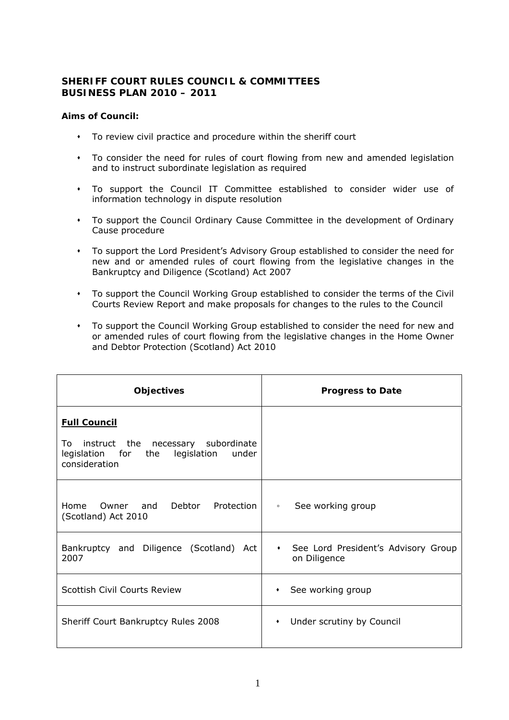## **SHERIFF COURT RULES COUNCIL & COMMITTEES BUSINESS PLAN 2010 – 2011**

## **Aims of Council:**

- To review civil practice and procedure within the sheriff court
- To consider the need for rules of court flowing from new and amended legislation and to instruct subordinate legislation as required
- To support the Council IT Committee established to consider wider use of information technology in dispute resolution
- To support the Council Ordinary Cause Committee in the development of Ordinary Cause procedure
- To support the Lord President's Advisory Group established to consider the need for new and or amended rules of court flowing from the legislative changes in the Bankruptcy and Diligence (Scotland) Act 2007
- To support the Council Working Group established to consider the terms of the Civil Courts Review Report and make proposals for changes to the rules to the Council
- To support the Council Working Group established to consider the need for new and or amended rules of court flowing from the legislative changes in the Home Owner and Debtor Protection (Scotland) Act 2010

| <b>Objectives</b>                                                                                     | <b>Progress to Date</b>                                          |
|-------------------------------------------------------------------------------------------------------|------------------------------------------------------------------|
| <b>Full Council</b>                                                                                   |                                                                  |
| To instruct the necessary subordinate<br>legislation for the<br>legislation<br>under<br>consideration |                                                                  |
| Home Owner and Debtor Protection<br>(Scotland) Act 2010                                               | See working group<br>$\circ$                                     |
| Bankruptcy and Diligence (Scotland) Act<br>2007                                                       | See Lord President's Advisory Group<br>$\bullet$<br>on Diligence |
| Scottish Civil Courts Review                                                                          | See working group<br>$\bullet$                                   |
| Sheriff Court Bankruptcy Rules 2008                                                                   | Under scrutiny by Council<br>$\bullet$                           |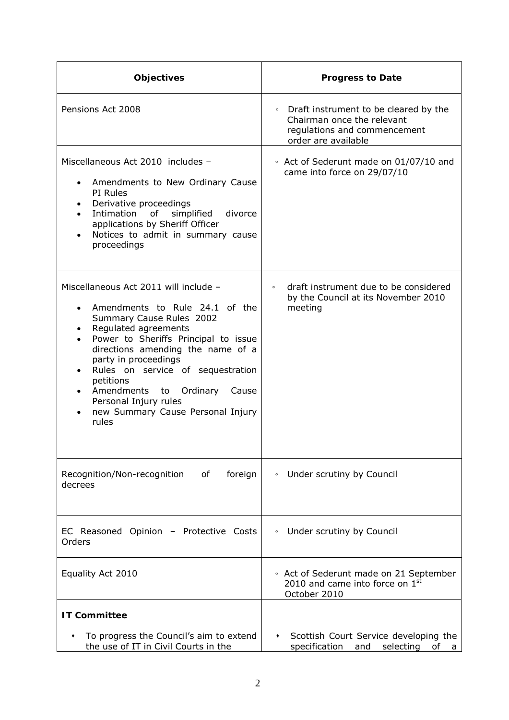| <b>Objectives</b>                                                                                                                                                                                                                                                                                                                                                                                               | <b>Progress to Date</b>                                                                                                               |
|-----------------------------------------------------------------------------------------------------------------------------------------------------------------------------------------------------------------------------------------------------------------------------------------------------------------------------------------------------------------------------------------------------------------|---------------------------------------------------------------------------------------------------------------------------------------|
| Pensions Act 2008                                                                                                                                                                                                                                                                                                                                                                                               | Draft instrument to be cleared by the<br>$\circ$<br>Chairman once the relevant<br>regulations and commencement<br>order are available |
| Miscellaneous Act 2010 includes -<br>Amendments to New Ordinary Cause<br>PI Rules<br>Derivative proceedings<br>of<br>Intimation<br>simplified<br>divorce<br>applications by Sheriff Officer<br>Notices to admit in summary cause<br>proceedings                                                                                                                                                                 | • Act of Sederunt made on 01/07/10 and<br>came into force on 29/07/10                                                                 |
| Miscellaneous Act 2011 will include -<br>Amendments to Rule 24.1 of the<br>Summary Cause Rules 2002<br>Regulated agreements<br>Power to Sheriffs Principal to issue<br>directions amending the name of a<br>party in proceedings<br>Rules on service of sequestration<br>petitions<br>Ordinary<br>Amendments<br>to<br>Cause<br>$\bullet$<br>Personal Injury rules<br>new Summary Cause Personal Injury<br>rules | draft instrument due to be considered<br>$\circ$<br>by the Council at its November 2010<br>meeting                                    |
| Recognition/Non-recognition<br>foreign<br>of<br>decrees                                                                                                                                                                                                                                                                                                                                                         | Under scrutiny by Council<br>$\circ$                                                                                                  |
| EC Reasoned Opinion - Protective Costs<br>Orders                                                                                                                                                                                                                                                                                                                                                                | Under scrutiny by Council<br>$\circ$                                                                                                  |
| Equality Act 2010                                                                                                                                                                                                                                                                                                                                                                                               | • Act of Sederunt made on 21 September<br>2010 and came into force on $1st$<br>October 2010                                           |
| <b>IT Committee</b>                                                                                                                                                                                                                                                                                                                                                                                             |                                                                                                                                       |
| To progress the Council's aim to extend<br>the use of IT in Civil Courts in the                                                                                                                                                                                                                                                                                                                                 | Scottish Court Service developing the<br>specification<br>and<br>selecting<br>οf<br>a                                                 |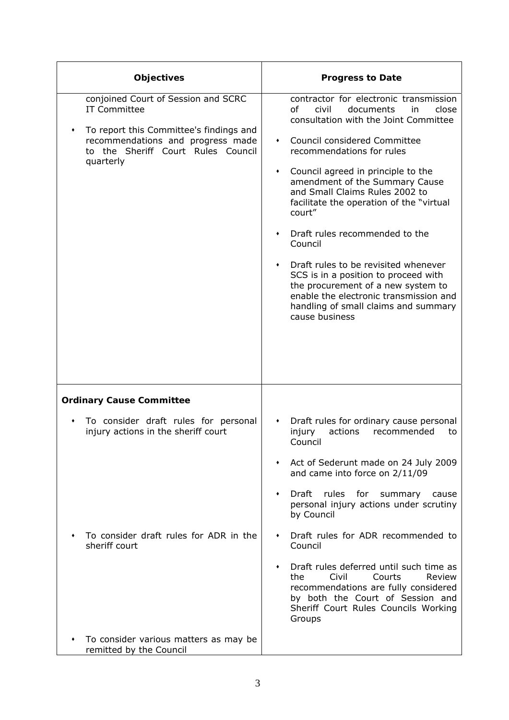| Objectives                                                                                                                                                                                    | <b>Progress to Date</b>                                                                                                                                                                                                                                                                                                                                                                                                                                                                                                                                                                                                                           |
|-----------------------------------------------------------------------------------------------------------------------------------------------------------------------------------------------|---------------------------------------------------------------------------------------------------------------------------------------------------------------------------------------------------------------------------------------------------------------------------------------------------------------------------------------------------------------------------------------------------------------------------------------------------------------------------------------------------------------------------------------------------------------------------------------------------------------------------------------------------|
| conjoined Court of Session and SCRC<br><b>IT Committee</b><br>To report this Committee's findings and<br>recommendations and progress made<br>to the Sheriff Court Rules Council<br>quarterly | contractor for electronic transmission<br>οf<br>civil<br>documents<br>close<br>in.<br>consultation with the Joint Committee<br>Council considered Committee<br>$\bullet$<br>recommendations for rules<br>Council agreed in principle to the<br>٠<br>amendment of the Summary Cause<br>and Small Claims Rules 2002 to<br>facilitate the operation of the "virtual<br>court"<br>Draft rules recommended to the<br>Council<br>Draft rules to be revisited whenever<br>SCS is in a position to proceed with<br>the procurement of a new system to<br>enable the electronic transmission and<br>handling of small claims and summary<br>cause business |
| <b>Ordinary Cause Committee</b>                                                                                                                                                               |                                                                                                                                                                                                                                                                                                                                                                                                                                                                                                                                                                                                                                                   |
| To consider draft rules for personal<br>injury actions in the sheriff court<br>To consider draft rules for ADR in the<br>sheriff court                                                        | Draft rules for ordinary cause personal<br>٠<br>injury<br>actions<br>recommended<br>to<br>Council<br>Act of Sederunt made on 24 July 2009<br>and came into force on 2/11/09<br>Draft<br>rules<br>for<br>summary<br>cause<br>personal injury actions under scrutiny<br>by Council<br>Draft rules for ADR recommended to<br>٠<br>Council<br>Draft rules deferred until such time as<br>Civil<br>Courts<br>Review<br>the<br>recommendations are fully considered<br>by both the Court of Session and<br>Sheriff Court Rules Councils Working<br>Groups                                                                                               |
| To consider various matters as may be<br>remitted by the Council                                                                                                                              |                                                                                                                                                                                                                                                                                                                                                                                                                                                                                                                                                                                                                                                   |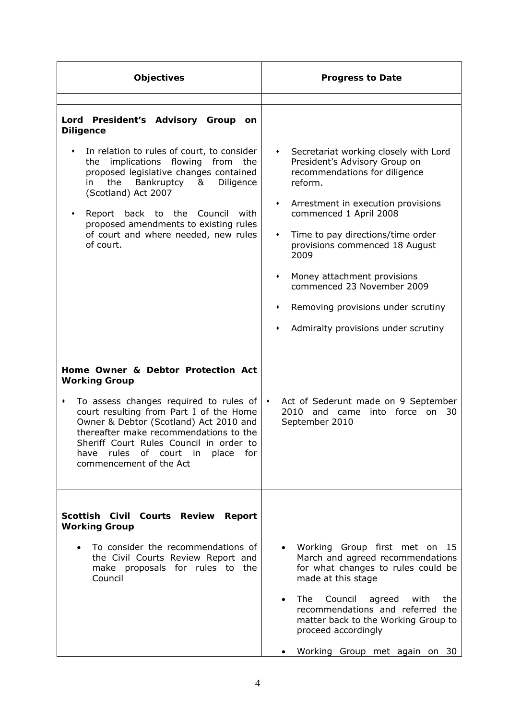| <b>Objectives</b>                                                                                                                                                                                                                                                                                                                                                                                            | <b>Progress to Date</b>                                                                                                                                                                                                                                                                                                                                                                                                                   |
|--------------------------------------------------------------------------------------------------------------------------------------------------------------------------------------------------------------------------------------------------------------------------------------------------------------------------------------------------------------------------------------------------------------|-------------------------------------------------------------------------------------------------------------------------------------------------------------------------------------------------------------------------------------------------------------------------------------------------------------------------------------------------------------------------------------------------------------------------------------------|
| Lord President's Advisory Group<br>on<br><b>Diligence</b><br>In relation to rules of court, to consider<br>٠<br>the implications flowing from<br>the<br>proposed legislative changes contained<br>the<br>Bankruptcy<br>&<br>Diligence<br>in.<br>(Scotland) Act 2007<br>Report back to the Council<br>with<br>٠<br>proposed amendments to existing rules<br>of court and where needed, new rules<br>of court. | Secretariat working closely with Lord<br>٠<br>President's Advisory Group on<br>recommendations for diligence<br>reform.<br>Arrestment in execution provisions<br>٠<br>commenced 1 April 2008<br>Time to pay directions/time order<br>٠<br>provisions commenced 18 August<br>2009<br>Money attachment provisions<br>٠<br>commenced 23 November 2009<br>Removing provisions under scrutiny<br>٠<br>Admiralty provisions under scrutiny<br>٠ |
| Home Owner & Debtor Protection Act<br><b>Working Group</b><br>To assess changes required to rules of $ \cdot $<br>٠<br>court resulting from Part I of the Home<br>Owner & Debtor (Scotland) Act 2010 and<br>thereafter make recommendations to the<br>Sheriff Court Rules Council in order to<br>have rules of court in place for<br>commencement of the Act                                                 | Act of Sederunt made on 9 September<br>2010 and came into force on<br>30<br>September 2010                                                                                                                                                                                                                                                                                                                                                |
| Scottish Civil Courts Review Report<br><b>Working Group</b><br>To consider the recommendations of<br>the Civil Courts Review Report and<br>make proposals for rules to the<br>Council                                                                                                                                                                                                                        | Working Group first met on 15<br>March and agreed recommendations<br>for what changes to rules could be<br>made at this stage<br>The<br>Council<br>agreed with<br>the<br>recommendations and referred the<br>matter back to the Working Group to<br>proceed accordingly<br>Working Group met again on 30                                                                                                                                  |